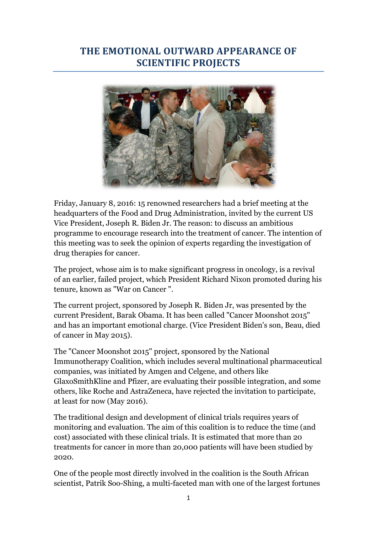## **THE EMOTIONAL OUTWARD APPEARANCE OF SCIENTIFIC PROJECTS**



Friday, January 8, 2016: 15 renowned researchers had a brief meeting at the headquarters of the Food and Drug Administration, invited by the current US Vice President, Joseph R. Biden Jr. The reason: to discuss an ambitious programme to encourage research into the treatment of cancer. The intention of this meeting was to seek the opinion of experts regarding the investigation of drug therapies for cancer.

The project, whose aim is to make significant progress in oncology, is a revival of an earlier, failed project, which President Richard Nixon promoted during his tenure, known as "War on Cancer ".

The current project, sponsored by Joseph R. Biden Jr, was presented by the current President, Barak Obama. It has been called "Cancer Moonshot 2015" and has an important emotional charge. (Vice President Biden's son, Beau, died of cancer in May 2015).

The "Cancer Moonshot 2015" project, sponsored by the National Immunotherapy Coalition, which includes several multinational pharmaceutical companies, was initiated by Amgen and Celgene, and others like GlaxoSmithKline and Pfizer, are evaluating their possible integration, and some others, like Roche and AstraZeneca, have rejected the invitation to participate, at least for now (May 2016).

The traditional design and development of clinical trials requires years of monitoring and evaluation. The aim of this coalition is to reduce the time (and cost) associated with these clinical trials. It is estimated that more than 20 treatments for cancer in more than 20,000 patients will have been studied by 2020.

One of the people most directly involved in the coalition is the South African scientist, Patrik Soo-Shing, a multi-faceted man with one of the largest fortunes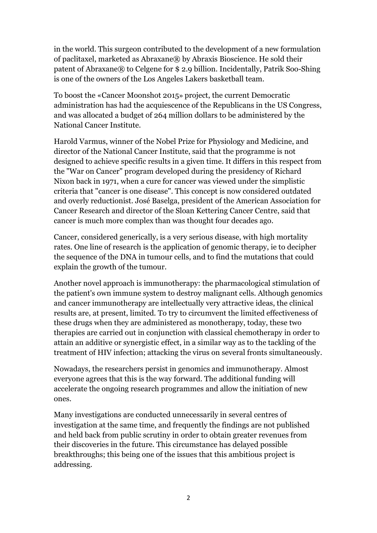in the world. This surgeon contributed to the development of a new formulation of paclitaxel, marketed as Abraxane® by Abraxis Bioscience. He sold their patent of Abraxane® to Celgene for \$ 2.9 billion. Incidentally, Patrik Soo-Shing is one of the owners of the Los Angeles Lakers basketball team.

To boost the «Cancer Moonshot 2015» project, the current Democratic administration has had the acquiescence of the Republicans in the US Congress, and was allocated a budget of 264 million dollars to be administered by the National Cancer Institute.

Harold Varmus, winner of the Nobel Prize for Physiology and Medicine, and director of the National Cancer Institute, said that the programme is not designed to achieve specific results in a given time. It differs in this respect from the "War on Cancer" program developed during the presidency of Richard Nixon back in 1971, when a cure for cancer was viewed under the simplistic criteria that "cancer is one disease". This concept is now considered outdated and overly reductionist. José Baselga, president of the American Association for Cancer Research and director of the Sloan Kettering Cancer Centre, said that cancer is much more complex than was thought four decades ago.

Cancer, considered generically, is a very serious disease, with high mortality rates. One line of research is the application of genomic therapy, ie to decipher the sequence of the DNA in tumour cells, and to find the mutations that could explain the growth of the tumour.

Another novel approach is immunotherapy: the pharmacological stimulation of the patient's own immune system to destroy malignant cells. Although genomics and cancer immunotherapy are intellectually very attractive ideas, the clinical results are, at present, limited. To try to circumvent the limited effectiveness of these drugs when they are administered as monotherapy, today, these two therapies are carried out in conjunction with classical chemotherapy in order to attain an additive or synergistic effect, in a similar way as to the tackling of the treatment of HIV infection; attacking the virus on several fronts simultaneously.

Nowadays, the researchers persist in genomics and immunotherapy. Almost everyone agrees that this is the way forward. The additional funding will accelerate the ongoing research programmes and allow the initiation of new ones.

Many investigations are conducted unnecessarily in several centres of investigation at the same time, and frequently the findings are not published and held back from public scrutiny in order to obtain greater revenues from their discoveries in the future. This circumstance has delayed possible breakthroughs; this being one of the issues that this ambitious project is addressing.